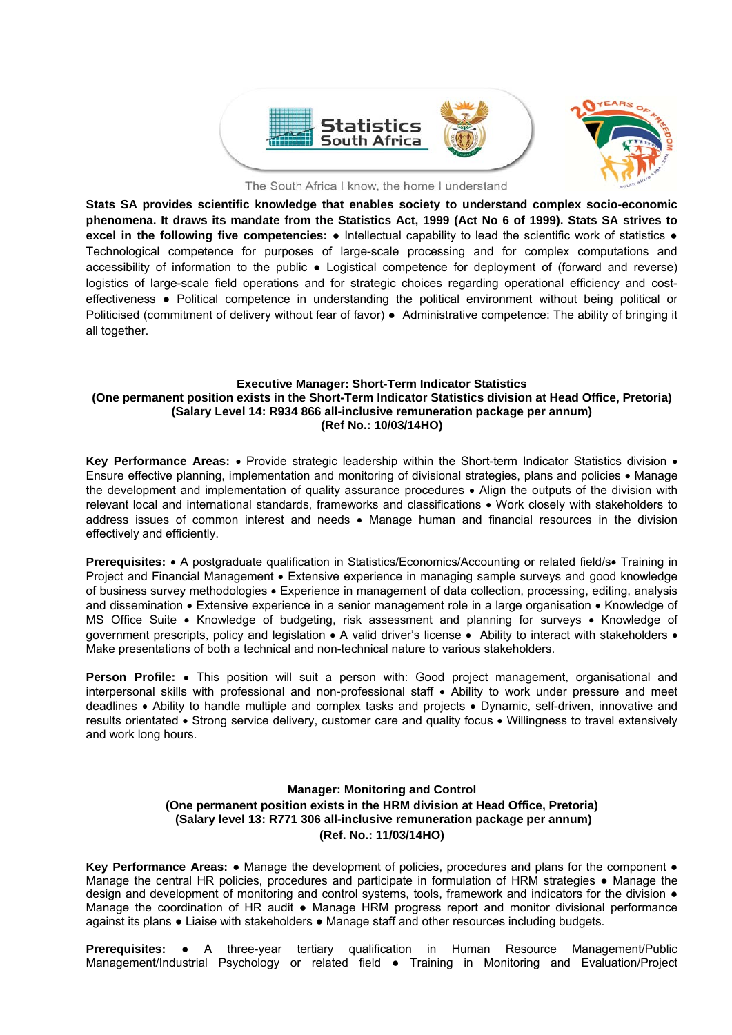

The South Africa I know, the home I understand

**Stats SA provides scientific knowledge that enables society to understand complex socio-economic phenomena. It draws its mandate from the Statistics Act, 1999 (Act No 6 of 1999). Stats SA strives to excel in the following five competencies:** ● Intellectual capability to lead the scientific work of statistics ● Technological competence for purposes of large-scale processing and for complex computations and accessibility of information to the public ● Logistical competence for deployment of (forward and reverse) logistics of large-scale field operations and for strategic choices regarding operational efficiency and costeffectiveness ● Political competence in understanding the political environment without being political or Politicised (commitment of delivery without fear of favor) ● Administrative competence: The ability of bringing it all together.

## **Executive Manager: Short-Term Indicator Statistics (One permanent position exists in the Short-Term Indicator Statistics division at Head Office, Pretoria) (Salary Level 14: R934 866 all-inclusive remuneration package per annum) (Ref No.: 10/03/14HO)**

Key Performance Areas: • Provide strategic leadership within the Short-term Indicator Statistics division • Ensure effective planning, implementation and monitoring of divisional strategies, plans and policies • Manage the development and implementation of quality assurance procedures Align the outputs of the division with relevant local and international standards, frameworks and classifications • Work closely with stakeholders to address issues of common interest and needs • Manage human and financial resources in the division effectively and efficiently.

**Prerequisites:** • A postgraduate qualification in Statistics/Economics/Accounting or related field/s Training in Project and Financial Management • Extensive experience in managing sample surveys and good knowledge of business survey methodologies Experience in management of data collection, processing, editing, analysis and dissemination • Extensive experience in a senior management role in a large organisation • Knowledge of MS Office Suite • Knowledge of budgeting, risk assessment and planning for surveys • Knowledge of government prescripts, policy and legislation • A valid driver's license • Ability to interact with stakeholders • Make presentations of both a technical and non-technical nature to various stakeholders.

Person Profile: . This position will suit a person with: Good project management, organisational and interpersonal skills with professional and non-professional staff • Ability to work under pressure and meet deadlines • Ability to handle multiple and complex tasks and projects • Dynamic, self-driven, innovative and results orientated • Strong service delivery, customer care and quality focus • Willingness to travel extensively and work long hours.

#### **Manager: Monitoring and Control (One permanent position exists in the HRM division at Head Office, Pretoria)**

 **(Salary level 13: R771 306 all-inclusive remuneration package per annum) (Ref. No.: 11/03/14HO)** 

Key Performance Areas: ● Manage the development of policies, procedures and plans for the component ● Manage the central HR policies, procedures and participate in formulation of HRM strategies ● Manage the design and development of monitoring and control systems, tools, framework and indicators for the division  $\bullet$ Manage the coordination of HR audit ● Manage HRM progress report and monitor divisional performance against its plans ● Liaise with stakeholders ● Manage staff and other resources including budgets.

**Prerequisites:** ● A three-year tertiary qualification in Human Resource Management/Public Management/Industrial Psychology or related field ● Training in Monitoring and Evaluation/Project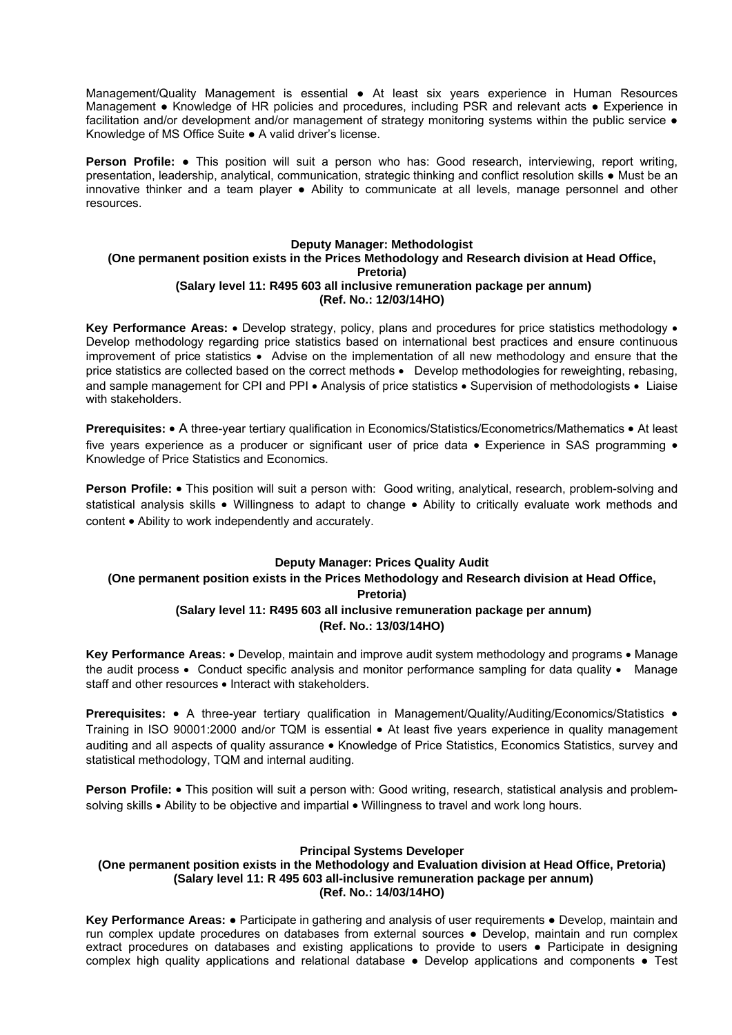Management/Quality Management is essential ● At least six years experience in Human Resources Management ● Knowledge of HR policies and procedures, including PSR and relevant acts ● Experience in facilitation and/or development and/or management of strategy monitoring systems within the public service  $\bullet$ Knowledge of MS Office Suite ● A valid driver's license.

**Person Profile: ●** This position will suit a person who has: Good research, interviewing, report writing, presentation, leadership, analytical, communication, strategic thinking and conflict resolution skills ● Must be an innovative thinker and a team player ● Ability to communicate at all levels, manage personnel and other resources.

### **Deputy Manager: Methodologist (One permanent position exists in the Prices Methodology and Research division at Head Office, Pretoria) (Salary level 11: R495 603 all inclusive remuneration package per annum) (Ref. No.: 12/03/14HO)**

**Key Performance Areas:** • Develop strategy, policy, plans and procedures for price statistics methodology • Develop methodology regarding price statistics based on international best practices and ensure continuous improvement of price statistics  $\bullet$  Advise on the implementation of all new methodology and ensure that the price statistics are collected based on the correct methods • Develop methodologies for reweighting, rebasing, and sample management for CPI and PPI • Analysis of price statistics • Supervision of methodologists • Liaise with stakeholders.

**Prerequisites:** • A three-year tertiary qualification in Economics/Statistics/Econometrics/Mathematics • At least five years experience as a producer or significant user of price data • Experience in SAS programming • Knowledge of Price Statistics and Economics.

**Person Profile:** • This position will suit a person with: Good writing, analytical, research, problem-solving and statistical analysis skills • Willingness to adapt to change • Ability to critically evaluate work methods and content • Ability to work independently and accurately.

# **Deputy Manager: Prices Quality Audit**

# **(One permanent position exists in the Prices Methodology and Research division at Head Office,**

**Pretoria)** 

# **(Salary level 11: R495 603 all inclusive remuneration package per annum) (Ref. No.: 13/03/14HO)**

Key Performance Areas: • Develop, maintain and improve audit system methodology and programs • Manage the audit process • Conduct specific analysis and monitor performance sampling for data quality • Manage staff and other resources • Interact with stakeholders.

**Prerequisites:** • A three-year tertiary qualification in Management/Quality/Auditing/Economics/Statistics • Training in ISO 90001:2000 and/or TQM is essential • At least five years experience in quality management auditing and all aspects of quality assurance • Knowledge of Price Statistics, Economics Statistics, survey and statistical methodology, TQM and internal auditing.

**Person Profile:** • This position will suit a person with: Good writing, research, statistical analysis and problemsolving skills • Ability to be objective and impartial • Willingness to travel and work long hours.

## **Principal Systems Developer**

### **(One permanent position exists in the Methodology and Evaluation division at Head Office, Pretoria) (Salary level 11: R 495 603 all-inclusive remuneration package per annum) (Ref. No.: 14/03/14HO)**

**Key Performance Areas:** ● Participate in gathering and analysis of user requirements ● Develop, maintain and run complex update procedures on databases from external sources ● Develop, maintain and run complex extract procedures on databases and existing applications to provide to users • Participate in designing complex high quality applications and relational database ● Develop applications and components ● Test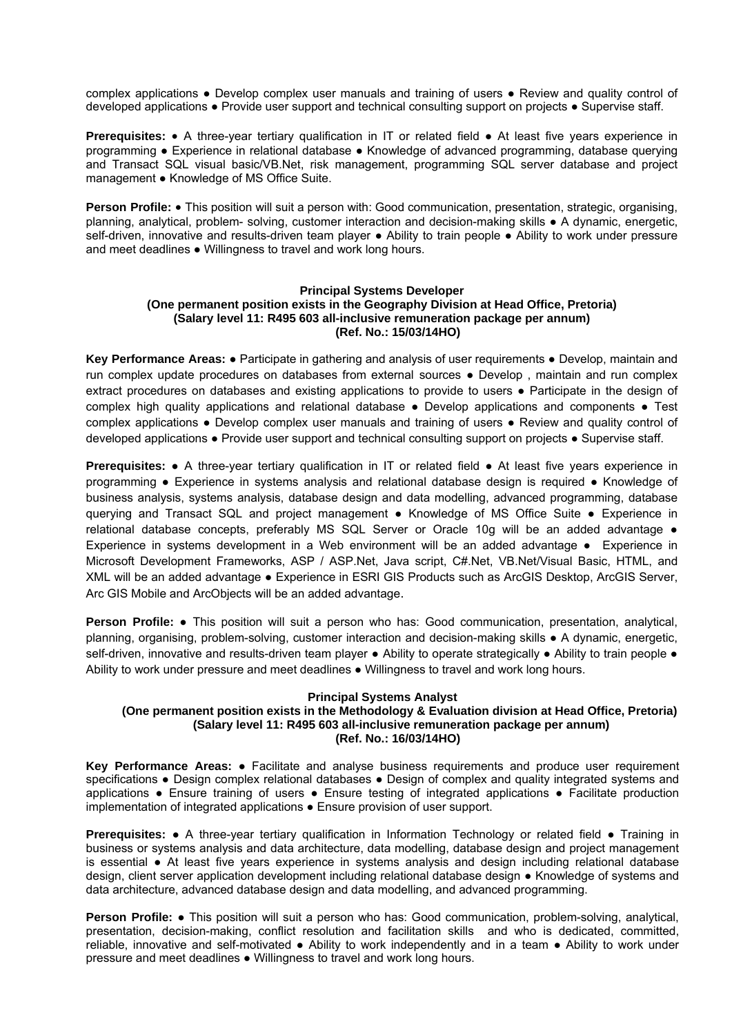complex applications ● Develop complex user manuals and training of users ● Review and quality control of developed applications ● Provide user support and technical consulting support on projects ● Supervise staff.

**Prerequisites: •** A three-year tertiary qualification in IT or related field • At least five years experience in programming ● Experience in relational database ● Knowledge of advanced programming, database querying and Transact SQL visual basic/VB.Net, risk management, programming SQL server database and project management ● Knowledge of MS Office Suite.

**Person Profile: •** This position will suit a person with: Good communication, presentation, strategic, organising, planning, analytical, problem- solving, customer interaction and decision-making skills ● A dynamic, energetic, self-driven, innovative and results-driven team player • Ability to train people • Ability to work under pressure and meet deadlines • Willingness to travel and work long hours.

#### **Principal Systems Developer (One permanent position exists in the Geography Division at Head Office, Pretoria) (Salary level 11: R495 603 all-inclusive remuneration package per annum) (Ref. No.: 15/03/14HO)**

**Key Performance Areas:** ● Participate in gathering and analysis of user requirements ● Develop, maintain and run complex update procedures on databases from external sources ● Develop , maintain and run complex extract procedures on databases and existing applications to provide to users ● Participate in the design of complex high quality applications and relational database ● Develop applications and components ● Test complex applications ● Develop complex user manuals and training of users ● Review and quality control of developed applications ● Provide user support and technical consulting support on projects ● Supervise staff.

**Prerequisites:** ● A three-year tertiary qualification in IT or related field ● At least five years experience in programming ● Experience in systems analysis and relational database design is required ● Knowledge of business analysis, systems analysis, database design and data modelling, advanced programming, database querying and Transact SQL and project management ● Knowledge of MS Office Suite ● Experience in relational database concepts, preferably MS SQL Server or Oracle 10g will be an added advantage  $\bullet$ Experience in systems development in a Web environment will be an added advantage ● Experience in Microsoft Development Frameworks, ASP / ASP.Net, Java script, C#.Net, VB.Net/Visual Basic, HTML, and XML will be an added advantage ● Experience in ESRI GIS Products such as ArcGIS Desktop, ArcGIS Server, Arc GIS Mobile and ArcObjects will be an added advantage.

**Person Profile:** ● This position will suit a person who has: Good communication, presentation, analytical, planning, organising, problem-solving, customer interaction and decision-making skills ● A dynamic, energetic, self-driven, innovative and results-driven team player • Ability to operate strategically • Ability to train people • Ability to work under pressure and meet deadlines ● Willingness to travel and work long hours.

## **Principal Systems Analyst**

# **(One permanent position exists in the Methodology & Evaluation division at Head Office, Pretoria) (Salary level 11: R495 603 all-inclusive remuneration package per annum) (Ref. No.: 16/03/14HO)**

**Key Performance Areas:** ● Facilitate and analyse business requirements and produce user requirement specifications • Design complex relational databases • Design of complex and quality integrated systems and applications ● Ensure training of users ● Ensure testing of integrated applications ● Facilitate production implementation of integrated applications ● Ensure provision of user support.

**Prerequisites: •** A three-year tertiary qualification in Information Technology or related field • Training in business or systems analysis and data architecture, data modelling, database design and project management is essential ● At least five years experience in systems analysis and design including relational database design, client server application development including relational database design ● Knowledge of systems and data architecture, advanced database design and data modelling, and advanced programming.

**Person Profile: ●** This position will suit a person who has: Good communication, problem-solving, analytical, presentation, decision-making, conflict resolution and facilitation skills and who is dedicated, committed, reliable, innovative and self-motivated • Ability to work independently and in a team • Ability to work under pressure and meet deadlines ● Willingness to travel and work long hours.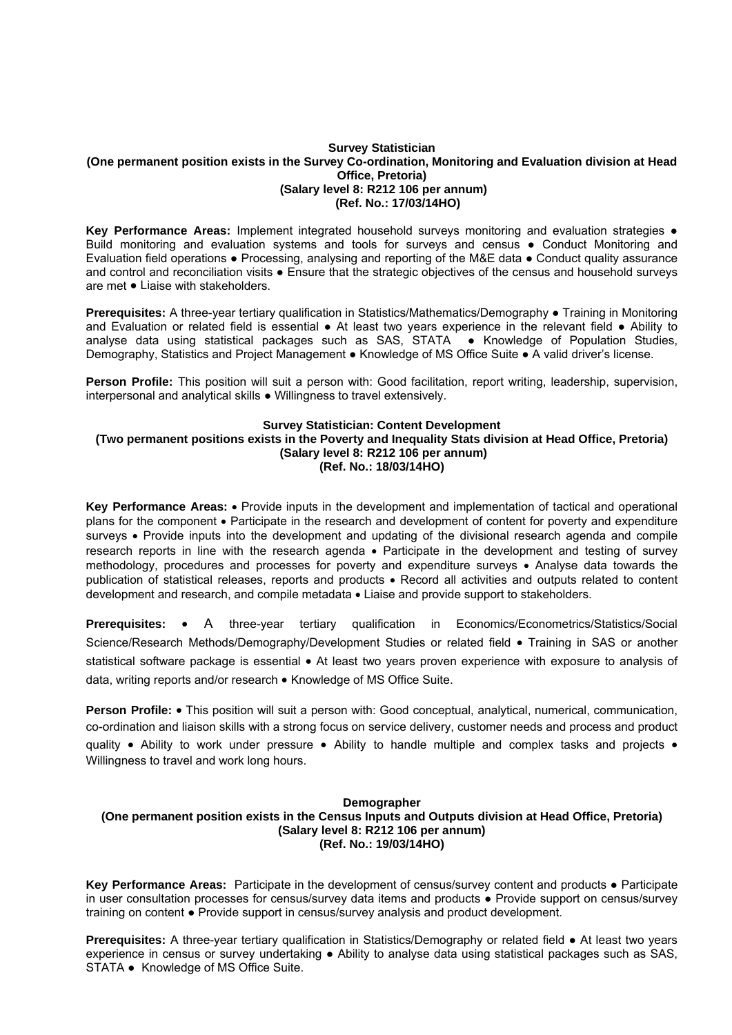#### **Survey Statistician (One permanent position exists in the Survey Co-ordination, Monitoring and Evaluation division at Head Office, Pretoria) (Salary level 8: R212 106 per annum) (Ref. No.: 17/03/14HO)**

**Key Performance Areas:** Implement integrated household surveys monitoring and evaluation strategies ● Build monitoring and evaluation systems and tools for surveys and census ● Conduct Monitoring and Evaluation field operations ● Processing, analysing and reporting of the M&E data ● Conduct quality assurance and control and reconciliation visits • Ensure that the strategic objectives of the census and household surveys are met ● Liaise with stakeholders.

**Prerequisites:** A three-year tertiary qualification in Statistics/Mathematics/Demography ● Training in Monitoring and Evaluation or related field is essential ● At least two years experience in the relevant field ● Ability to analyse data using statistical packages such as SAS, STATA ● Knowledge of Population Studies, Demography, Statistics and Project Management ● Knowledge of MS Office Suite ● A valid driver's license.

**Person Profile:** This position will suit a person with: Good facilitation, report writing, leadership, supervision, interpersonal and analytical skills ● Willingness to travel extensively.

# **Survey Statistician: Content Development**

**(Two permanent positions exists in the Poverty and Inequality Stats division at Head Office, Pretoria) (Salary level 8: R212 106 per annum) (Ref. No.: 18/03/14HO)** 

**Key Performance Areas:** Provide inputs in the development and implementation of tactical and operational plans for the component • Participate in the research and development of content for poverty and expenditure surveys • Provide inputs into the development and updating of the divisional research agenda and compile research reports in line with the research agenda • Participate in the development and testing of survey methodology, procedures and processes for poverty and expenditure surveys • Analyse data towards the publication of statistical releases, reports and products Record all activities and outputs related to content development and research, and compile metadata  $\bullet$  Liaise and provide support to stakeholders.

**Prerequisites:** • A three-year tertiary qualification in Economics/Econometrics/Statistics/Social Science/Research Methods/Demography/Development Studies or related field • Training in SAS or another statistical software package is essential  $\bullet$  At least two years proven experience with exposure to analysis of data, writing reports and/or research • Knowledge of MS Office Suite.

**Person Profile:** • This position will suit a person with: Good conceptual, analytical, numerical, communication, co-ordination and liaison skills with a strong focus on service delivery, customer needs and process and product quality • Ability to work under pressure • Ability to handle multiple and complex tasks and projects • Willingness to travel and work long hours.

## **Demographer (One permanent position exists in the Census Inputs and Outputs division at Head Office, Pretoria) (Salary level 8: R212 106 per annum) (Ref. No.: 19/03/14HO)**

**Key Performance Areas:** Participate in the development of census/survey content and products ● Participate in user consultation processes for census/survey data items and products ● Provide support on census/survey training on content ● Provide support in census/survey analysis and product development.

**Prerequisites:** A three-year tertiary qualification in Statistics/Demography or related field ● At least two years experience in census or survey undertaking ● Ability to analyse data using statistical packages such as SAS, STATA • Knowledge of MS Office Suite.